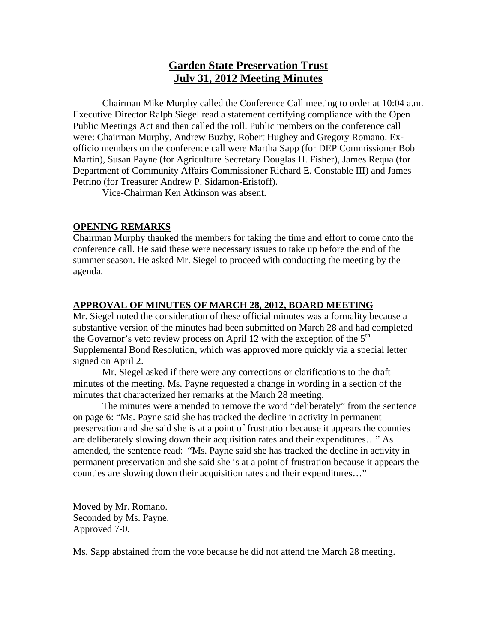# **Garden State Preservation Trust July 31, 2012 Meeting Minutes**

Chairman Mike Murphy called the Conference Call meeting to order at 10:04 a.m. Executive Director Ralph Siegel read a statement certifying compliance with the Open Public Meetings Act and then called the roll. Public members on the conference call were: Chairman Murphy, Andrew Buzby, Robert Hughey and Gregory Romano. Exofficio members on the conference call were Martha Sapp (for DEP Commissioner Bob Martin), Susan Payne (for Agriculture Secretary Douglas H. Fisher), James Requa (for Department of Community Affairs Commissioner Richard E. Constable III) and James Petrino (for Treasurer Andrew P. Sidamon-Eristoff).

Vice-Chairman Ken Atkinson was absent.

## **OPENING REMARKS**

Chairman Murphy thanked the members for taking the time and effort to come onto the conference call. He said these were necessary issues to take up before the end of the summer season. He asked Mr. Siegel to proceed with conducting the meeting by the agenda.

## **APPROVAL OF MINUTES OF MARCH 28, 2012, BOARD MEETING**

Mr. Siegel noted the consideration of these official minutes was a formality because a substantive version of the minutes had been submitted on March 28 and had completed the Governor's veto review process on April 12 with the exception of the  $5<sup>th</sup>$ Supplemental Bond Resolution, which was approved more quickly via a special letter signed on April 2.

 Mr. Siegel asked if there were any corrections or clarifications to the draft minutes of the meeting. Ms. Payne requested a change in wording in a section of the minutes that characterized her remarks at the March 28 meeting.

 The minutes were amended to remove the word "deliberately" from the sentence on page 6: "Ms. Payne said she has tracked the decline in activity in permanent preservation and she said she is at a point of frustration because it appears the counties are deliberately slowing down their acquisition rates and their expenditures…" As amended, the sentence read: "Ms. Payne said she has tracked the decline in activity in permanent preservation and she said she is at a point of frustration because it appears the counties are slowing down their acquisition rates and their expenditures…"

Moved by Mr. Romano. Seconded by Ms. Payne. Approved 7-0.

Ms. Sapp abstained from the vote because he did not attend the March 28 meeting.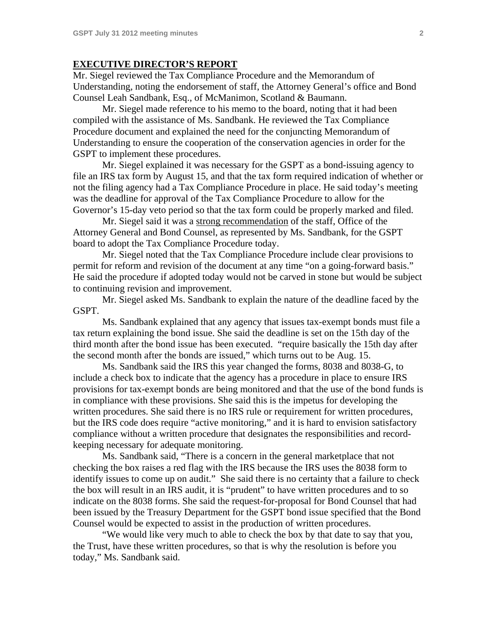#### **EXECUTIVE DIRECTOR'S REPORT**

Mr. Siegel reviewed the Tax Compliance Procedure and the Memorandum of Understanding, noting the endorsement of staff, the Attorney General's office and Bond Counsel Leah Sandbank, Esq., of McManimon, Scotland & Baumann.

 Mr. Siegel made reference to his memo to the board, noting that it had been compiled with the assistance of Ms. Sandbank. He reviewed the Tax Compliance Procedure document and explained the need for the conjuncting Memorandum of Understanding to ensure the cooperation of the conservation agencies in order for the GSPT to implement these procedures.

 Mr. Siegel explained it was necessary for the GSPT as a bond-issuing agency to file an IRS tax form by August 15, and that the tax form required indication of whether or not the filing agency had a Tax Compliance Procedure in place. He said today's meeting was the deadline for approval of the Tax Compliance Procedure to allow for the Governor's 15-day veto period so that the tax form could be properly marked and filed.

 Mr. Siegel said it was a strong recommendation of the staff, Office of the Attorney General and Bond Counsel, as represented by Ms. Sandbank, for the GSPT board to adopt the Tax Compliance Procedure today.

 Mr. Siegel noted that the Tax Compliance Procedure include clear provisions to permit for reform and revision of the document at any time "on a going-forward basis." He said the procedure if adopted today would not be carved in stone but would be subject to continuing revision and improvement.

 Mr. Siegel asked Ms. Sandbank to explain the nature of the deadline faced by the GSPT.

 Ms. Sandbank explained that any agency that issues tax-exempt bonds must file a tax return explaining the bond issue. She said the deadline is set on the 15th day of the third month after the bond issue has been executed. "require basically the 15th day after the second month after the bonds are issued," which turns out to be Aug. 15.

 Ms. Sandbank said the IRS this year changed the forms, 8038 and 8038-G, to include a check box to indicate that the agency has a procedure in place to ensure IRS provisions for tax-exempt bonds are being monitored and that the use of the bond funds is in compliance with these provisions. She said this is the impetus for developing the written procedures. She said there is no IRS rule or requirement for written procedures, but the IRS code does require "active monitoring," and it is hard to envision satisfactory compliance without a written procedure that designates the responsibilities and recordkeeping necessary for adequate monitoring.

 Ms. Sandbank said, "There is a concern in the general marketplace that not checking the box raises a red flag with the IRS because the IRS uses the 8038 form to identify issues to come up on audit." She said there is no certainty that a failure to check the box will result in an IRS audit, it is "prudent" to have written procedures and to so indicate on the 8038 forms. She said the request-for-proposal for Bond Counsel that had been issued by the Treasury Department for the GSPT bond issue specified that the Bond Counsel would be expected to assist in the production of written procedures.

 "We would like very much to able to check the box by that date to say that you, the Trust, have these written procedures, so that is why the resolution is before you today," Ms. Sandbank said.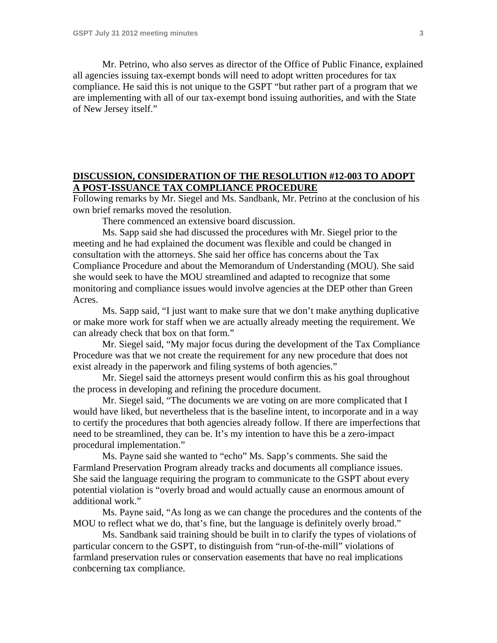Mr. Petrino, who also serves as director of the Office of Public Finance, explained all agencies issuing tax-exempt bonds will need to adopt written procedures for tax compliance. He said this is not unique to the GSPT "but rather part of a program that we are implementing with all of our tax-exempt bond issuing authorities, and with the State of New Jersey itself."

## **DISCUSSION, CONSIDERATION OF THE RESOLUTION #12-003 TO ADOPT A POST-ISSUANCE TAX COMPLIANCE PROCEDURE**

Following remarks by Mr. Siegel and Ms. Sandbank, Mr. Petrino at the conclusion of his own brief remarks moved the resolution.

There commenced an extensive board discussion.

 Ms. Sapp said she had discussed the procedures with Mr. Siegel prior to the meeting and he had explained the document was flexible and could be changed in consultation with the attorneys. She said her office has concerns about the Tax Compliance Procedure and about the Memorandum of Understanding (MOU). She said she would seek to have the MOU streamlined and adapted to recognize that some monitoring and compliance issues would involve agencies at the DEP other than Green Acres.

 Ms. Sapp said, "I just want to make sure that we don't make anything duplicative or make more work for staff when we are actually already meeting the requirement. We can already check that box on that form."

 Mr. Siegel said, "My major focus during the development of the Tax Compliance Procedure was that we not create the requirement for any new procedure that does not exist already in the paperwork and filing systems of both agencies."

 Mr. Siegel said the attorneys present would confirm this as his goal throughout the process in developing and refining the procedure document.

 Mr. Siegel said, "The documents we are voting on are more complicated that I would have liked, but nevertheless that is the baseline intent, to incorporate and in a way to certify the procedures that both agencies already follow. If there are imperfections that need to be streamlined, they can be. It's my intention to have this be a zero-impact procedural implementation."

 Ms. Payne said she wanted to "echo" Ms. Sapp's comments. She said the Farmland Preservation Program already tracks and documents all compliance issues. She said the language requiring the program to communicate to the GSPT about every potential violation is "overly broad and would actually cause an enormous amount of additional work."

 Ms. Payne said, "As long as we can change the procedures and the contents of the MOU to reflect what we do, that's fine, but the language is definitely overly broad."

 Ms. Sandbank said training should be built in to clarify the types of violations of particular concern to the GSPT, to distinguish from "run-of-the-mill" violations of farmland preservation rules or conservation easements that have no real implications conbcerning tax compliance.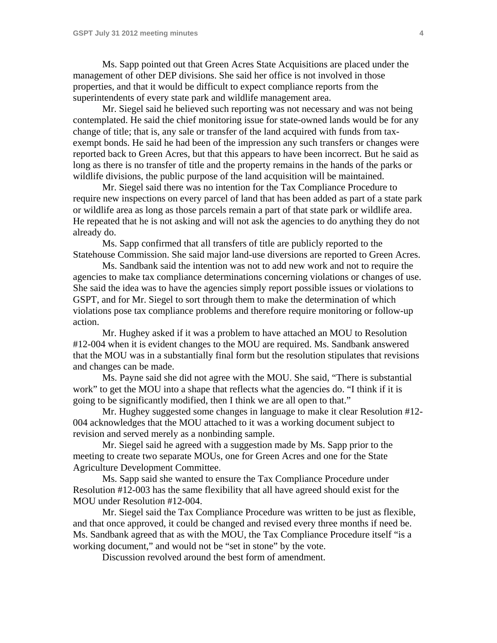Ms. Sapp pointed out that Green Acres State Acquisitions are placed under the management of other DEP divisions. She said her office is not involved in those properties, and that it would be difficult to expect compliance reports from the superintendents of every state park and wildlife management area.

 Mr. Siegel said he believed such reporting was not necessary and was not being contemplated. He said the chief monitoring issue for state-owned lands would be for any change of title; that is, any sale or transfer of the land acquired with funds from taxexempt bonds. He said he had been of the impression any such transfers or changes were reported back to Green Acres, but that this appears to have been incorrect. But he said as long as there is no transfer of title and the property remains in the hands of the parks or wildlife divisions, the public purpose of the land acquisition will be maintained.

 Mr. Siegel said there was no intention for the Tax Compliance Procedure to require new inspections on every parcel of land that has been added as part of a state park or wildlife area as long as those parcels remain a part of that state park or wildlife area. He repeated that he is not asking and will not ask the agencies to do anything they do not already do.

 Ms. Sapp confirmed that all transfers of title are publicly reported to the Statehouse Commission. She said major land-use diversions are reported to Green Acres.

 Ms. Sandbank said the intention was not to add new work and not to require the agencies to make tax compliance determinations concerning violations or changes of use. She said the idea was to have the agencies simply report possible issues or violations to GSPT, and for Mr. Siegel to sort through them to make the determination of which violations pose tax compliance problems and therefore require monitoring or follow-up action.

 Mr. Hughey asked if it was a problem to have attached an MOU to Resolution #12-004 when it is evident changes to the MOU are required. Ms. Sandbank answered that the MOU was in a substantially final form but the resolution stipulates that revisions and changes can be made.

 Ms. Payne said she did not agree with the MOU. She said, "There is substantial work" to get the MOU into a shape that reflects what the agencies do. "I think if it is going to be significantly modified, then I think we are all open to that."

Mr. Hughey suggested some changes in language to make it clear Resolution #12- 004 acknowledges that the MOU attached to it was a working document subject to revision and served merely as a nonbinding sample.

 Mr. Siegel said he agreed with a suggestion made by Ms. Sapp prior to the meeting to create two separate MOUs, one for Green Acres and one for the State Agriculture Development Committee.

 Ms. Sapp said she wanted to ensure the Tax Compliance Procedure under Resolution #12-003 has the same flexibility that all have agreed should exist for the MOU under Resolution #12-004.

 Mr. Siegel said the Tax Compliance Procedure was written to be just as flexible, and that once approved, it could be changed and revised every three months if need be. Ms. Sandbank agreed that as with the MOU, the Tax Compliance Procedure itself "is a working document," and would not be "set in stone" by the vote.

Discussion revolved around the best form of amendment.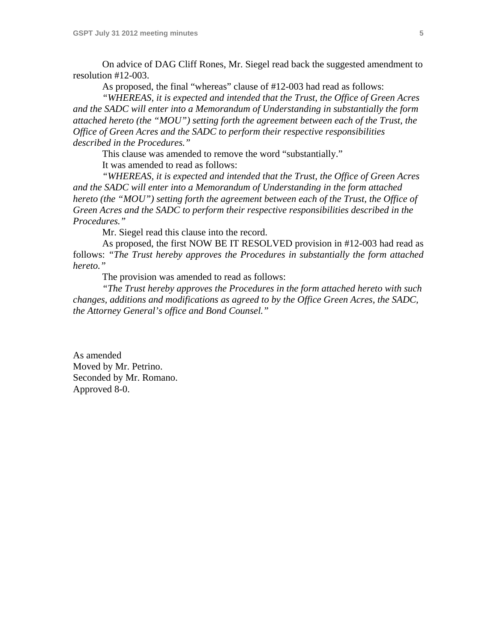On advice of DAG Cliff Rones, Mr. Siegel read back the suggested amendment to resolution #12-003.

As proposed, the final "whereas" clause of #12-003 had read as follows:

*"WHEREAS, it is expected and intended that the Trust, the Office of Green Acres and the SADC will enter into a Memorandum of Understanding in substantially the form attached hereto (the "MOU") setting forth the agreement between each of the Trust, the Office of Green Acres and the SADC to perform their respective responsibilities described in the Procedures."*

This clause was amended to remove the word "substantially."

It was amended to read as follows:

*"WHEREAS, it is expected and intended that the Trust, the Office of Green Acres and the SADC will enter into a Memorandum of Understanding in the form attached hereto (the "MOU") setting forth the agreement between each of the Trust, the Office of Green Acres and the SADC to perform their respective responsibilities described in the Procedures."* 

Mr. Siegel read this clause into the record.

 As proposed, the first NOW BE IT RESOLVED provision in #12-003 had read as follows: *"The Trust hereby approves the Procedures in substantially the form attached hereto."*

The provision was amended to read as follows:

*"The Trust hereby approves the Procedures in the form attached hereto with such changes, additions and modifications as agreed to by the Office Green Acres, the SADC, the Attorney General's office and Bond Counsel."*

As amended Moved by Mr. Petrino. Seconded by Mr. Romano. Approved 8-0.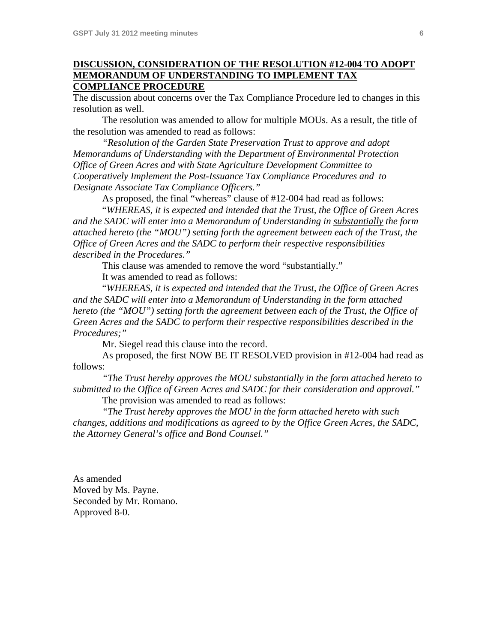## **DISCUSSION, CONSIDERATION OF THE RESOLUTION #12-004 TO ADOPT MEMORANDUM OF UNDERSTANDING TO IMPLEMENT TAX COMPLIANCE PROCEDURE**

The discussion about concerns over the Tax Compliance Procedure led to changes in this resolution as well.

 The resolution was amended to allow for multiple MOUs. As a result, the title of the resolution was amended to read as follows:

*"Resolution of the Garden State Preservation Trust to approve and adopt Memorandums of Understanding with the Department of Environmental Protection Office of Green Acres and with State Agriculture Development Committee to Cooperatively Implement the Post-Issuance Tax Compliance Procedures and to Designate Associate Tax Compliance Officers."*

As proposed, the final "whereas" clause of #12-004 had read as follows:

 "*WHEREAS, it is expected and intended that the Trust, the Office of Green Acres and the SADC will enter into a Memorandum of Understanding in substantially the form attached hereto (the "MOU") setting forth the agreement between each of the Trust, the Office of Green Acres and the SADC to perform their respective responsibilities described in the Procedures."* 

 This clause was amended to remove the word "substantially." It was amended to read as follows:

 "*WHEREAS, it is expected and intended that the Trust, the Office of Green Acres and the SADC will enter into a Memorandum of Understanding in the form attached hereto (the "MOU") setting forth the agreement between each of the Trust, the Office of Green Acres and the SADC to perform their respective responsibilities described in the Procedures;"* 

Mr. Siegel read this clause into the record.

 As proposed, the first NOW BE IT RESOLVED provision in #12-004 had read as follows:

*"The Trust hereby approves the MOU substantially in the form attached hereto to submitted to the Office of Green Acres and SADC for their consideration and approval."* 

The provision was amended to read as follows:

*"The Trust hereby approves the MOU in the form attached hereto with such changes, additions and modifications as agreed to by the Office Green Acres, the SADC, the Attorney General's office and Bond Counsel."*

As amended Moved by Ms. Payne. Seconded by Mr. Romano. Approved 8-0.